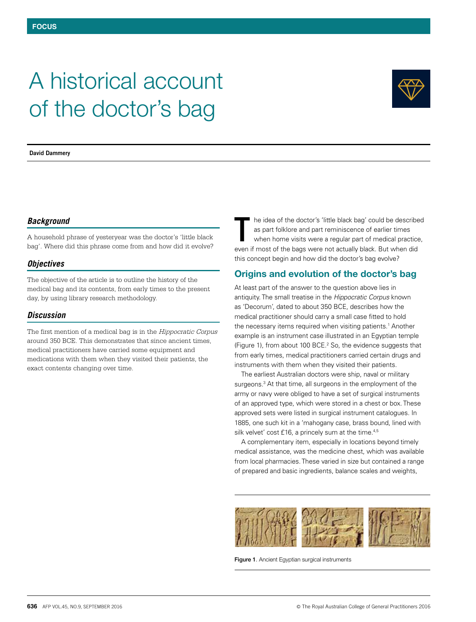# A historical account of the doctor's bag



**David Dammery**

## *Background*

A household phrase of yesteryear was the doctor's 'little black bag'. Where did this phrase come from and how did it evolve?

## *Objectives*

The objective of the article is to outline the history of the medical bag and its contents, from early times to the present day, by using library research methodology.

## *Discussion*

The first mention of a medical bag is in the *Hippocratic Corpus* around 350 BCE. This demonstrates that since ancient times, medical practitioners have carried some equipment and medications with them when they visited their patients, the exact contents changing over time.

he idea of the doctor's 'little black bag' could be described as part folklore and part reminiscence of earlier times when home visits were a regular part of medical practice, The idea of the doctor's 'little black bag' could be describe<br>as part folklore and part reminiscence of earlier times<br>when home visits were a regular part of medical practice<br>even if most of the bags were not actually blac this concept begin and how did the doctor's bag evolve?

# Origins and evolution of the doctor's bag

At least part of the answer to the question above lies in antiquity. The small treatise in the *Hippocratic Corpus* known as 'Decorum', dated to about 350 BCE, describes how the medical practitioner should carry a small case fitted to hold the necessary items required when visiting patients.<sup>1</sup> Another example is an instrument case illustrated in an Egyptian temple (Figure 1), from about 100 BCE.<sup>2</sup> So, the evidence suggests that from early times, medical practitioners carried certain drugs and instruments with them when they visited their patients.

The earliest Australian doctors were ship, naval or military surgeons.<sup>3</sup> At that time, all surgeons in the employment of the army or navy were obliged to have a set of surgical instruments of an approved type, which were stored in a chest or box. These approved sets were listed in surgical instrument catalogues. In 1885, one such kit in a 'mahogany case, brass bound, lined with silk velvet' cost £16, a princely sum at the time.<sup>4,5</sup>

A complementary item, especially in locations beyond timely medical assistance, was the medicine chest, which was available from local pharmacies. These varied in size but contained a range of prepared and basic ingredients, balance scales and weights,



Figure 1. Ancient Egyptian surgical instruments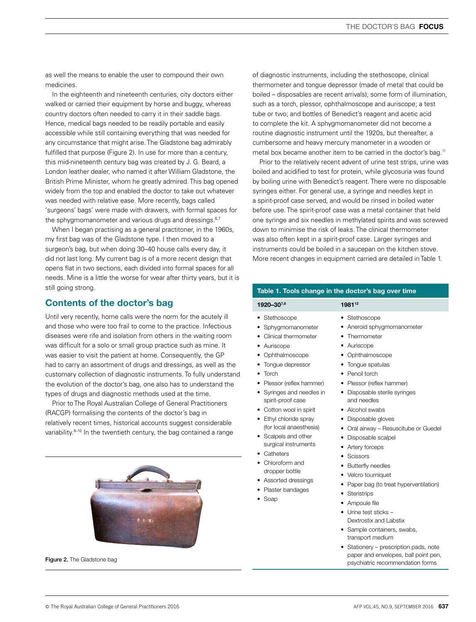as well the means to enable the user to compound their own medicines.

In the eighteenth and nineteenth centuries, city doctors either walked or carried their equipment by horse and buggy, whereas country doctors often needed to carry it in their saddle bags. Hence, medical bags needed to be readily portable and easily accessible while still containing everything that was needed for any circumstance that might arise. The Gladstone bag admirably fulfilled that purpose (Figure 2). In use for more than a century, this mid-nineteenth century bag was created by J. G. Beard, a London leather dealer, who named it after William Gladstone, the British Prime Minister, whom he greatly admired. This bag opened widely from the top and enabled the doctor to take out whatever was needed with relative ease. More recently, bags called 'surgeons' bags' were made with drawers, with formal spaces for the sphygmomanometer and various drugs and dressings.<sup>6,7</sup>

When I began practising as a general practitoner, in the 1960s, my first bag was of the Gladstone type. I then moved to a surgeon's bag, but when doing 30–40 house calls every day, it did not last long. My current bag is of a more recent design that opens flat in two sections, each divided into formal spaces for all needs. Mine is a little the worse for wear after thirty years, but it is still going strong.

## Contents of the doctor's bag

Until very recently, home calls were the norm for the acutely ill and those who were too frail to come to the practice. Infectious diseases were rife and isolation from others in the waiting room was difficult for a solo or small group practice such as mine. It was easier to visit the patient at home. Consequently, the GP had to carry an assortment of drugs and dressings, as well as the customary collection of diagnostic instruments. To fully understand the evolution of the doctor's bag, one also has to understand the types of drugs and diagnostic methods used at the time.

Prior to The Royal Australian College of General Practitioners (RACGP) formalising the contents of the doctor's bag in relatively recent times, historical accounts suggest considerable variability.<sup>8-10</sup> In the twentieth century, the bag contained a range



of diagnostic instruments, including the stethoscope, clinical thermometer and tongue depressor (made of metal that could be boiled – disposables are recent arrivals); some form of illumination, such as a torch, plessor, ophthalmoscope and auriscope; a test tube or two; and bottles of Benedict's reagent and acetic acid to complete the kit. A sphygmomanometer did not become a routine diagnostic instrument until the 1920s, but thereafter, a cumbersome and heavy mercury manometer in a wooden or metal box became another item to be carried in the doctor's bag.<sup>11</sup>

Prior to the relatively recent advent of urine test strips, urine was boiled and acidified to test for protein, while glycosuria was found by boiling urine with Benedict's reagent. There were no disposable syringes either. For general use, a syringe and needles kept in a spirit-proof case served, and would be rinsed in boiled water before use. The spirit-proof case was a metal container that held one syringe and six needles in methylated spirits and was screwed down to minimise the risk of leaks. The clinical thermometer was also often kept in a spirit-proof case. Larger syringes and instruments could be boiled in a saucepan on the kitchen stove. More recent changes in equipment carried are detailed in Table 1.

### Table 1. Tools change in the doctor's bag over time

| 1920–307,8                                     | 1981 <sup>12</sup>                         |  |
|------------------------------------------------|--------------------------------------------|--|
| • Stethoscope                                  | • Stethoscope                              |  |
| Sphygmomanometer<br>٠                          | Aneroid sphygmomanometer                   |  |
| Clinical thermometer                           | Thermometer<br>٠                           |  |
| Auriscope<br>٠                                 | Auriscope<br>٠                             |  |
| • Ophthalmoscope                               | • Ophthalmoscope                           |  |
| Tongue depressor                               | • Tongue spatulas                          |  |
| Torch<br>٠                                     | • Pencil torch                             |  |
| Plessor (reflex hammer)<br>٠                   | • Plessor (reflex hammer)                  |  |
| • Syringes and needles in<br>spirit-proof case | Disposable sterile syringes<br>and needles |  |
| • Cotton wool in spirit                        | • Alcohol swabs                            |  |
| Ethyl chloride spray                           | Disposable gloves<br>$\bullet$             |  |
| (for local anaesthesia)                        | • Oral airway – Resuscitube or Guedel      |  |
| • Scalpels and other                           | Disposable scalpel                         |  |
| surgical instruments                           | Artery forceps                             |  |
| Catheters                                      | <b>Scissors</b>                            |  |
| Chloroform and<br>dropper bottle               | <b>Butterfly needles</b>                   |  |

- Velcro tourniquet
- Paper bag (to treat hyperventilation)
- Steristrips

• Assorted dressings • Plaster bandages

• Soap

- Ampoule file
- Urine test sticks Dextrostix and Labstix
- Sample containers, swabs, transport medium
- Stationery prescription pads, note paper and envelopes, ball point pen, **Figure 2.** The Gladstone bag **Figure 2.** The Gladstone bag **Figure 2.** The Gladstone bag **Figure 2.** The Gladstone bag **Figure 2.** The Gladstone bag **Figure 2.** The Gladstone bag **Figure 2.** The Gladstone bag **Figure 2.**